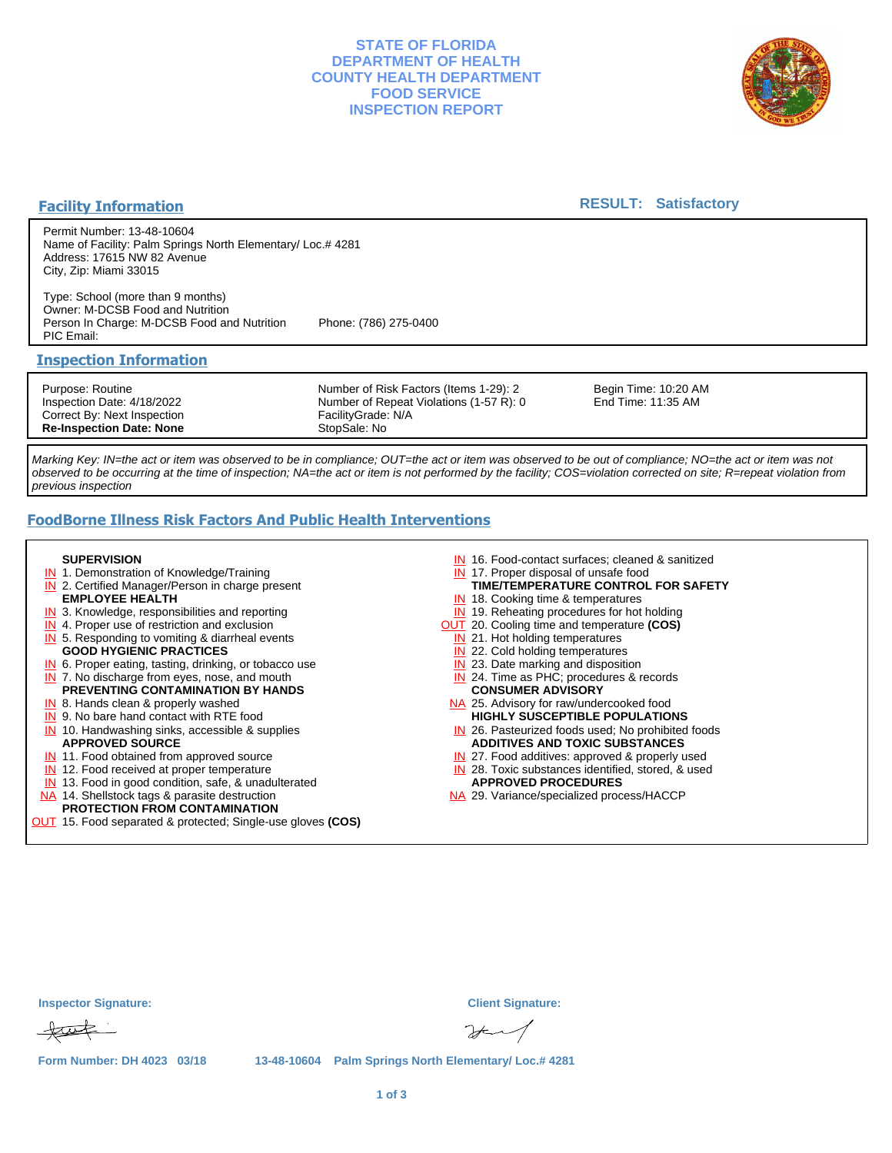## **STATE OF FLORIDA DEPARTMENT OF HEALTH COUNTY HEALTH DEPARTMENT FOOD SERVICE INSPECTION REPORT**



## **Facility Information**

## **RESULT: Satisfactory**

Permit Number: 13-48-10604 Name of Facility: Palm Springs North Elementary/ Loc.# 4281 Address: 17615 NW 82 Avenue City, Zip: Miami 33015

Type: School (more than 9 months) Owner: M-DCSB Food and Nutrition Person In Charge: M-DCSB Food and Nutrition Phone: (786) 275-0400 PIC Email:

#### **Inspection Information**

Purpose: Routine Inspection Date: 4/18/2022 Correct By: Next Inspection **Re-Inspection Date: None**

Number of Risk Factors (Items 1-29): 2 Number of Repeat Violations (1-57 R): 0 FacilityGrade: N/A StopSale: No

Begin Time: 10:20 AM End Time: 11:35 AM

Marking Key: IN=the act or item was observed to be in compliance; OUT=the act or item was observed to be out of compliance; NO=the act or item was not observed to be occurring at the time of inspection; NA=the act or item is not performed by the facility; COS=violation corrected on site; R=repeat violation from previous inspection

# **FoodBorne Illness Risk Factors And Public Health Interventions**

#### **SUPERVISION**

- **IN** 1. Demonstration of Knowledge/Training
- **IN** 2. Certified Manager/Person in charge present **EMPLOYEE HEALTH**
- **IN** 3. Knowledge, responsibilities and reporting
- **IN** 4. Proper use of restriction and exclusion
- **IN** 5. Responding to vomiting & diarrheal events
- **GOOD HYGIENIC PRACTICES**
- **IN** 6. Proper eating, tasting, drinking, or tobacco use **IN** 7. No discharge from eyes, nose, and mouth
- **PREVENTING CONTAMINATION BY HANDS**
- IN 8. Hands clean & properly washed
- **IN** 9. No bare hand contact with RTE food IN 10. Handwashing sinks, accessible & supplies **APPROVED SOURCE**
- **IN** 11. Food obtained from approved source
- **IN** 12. Food received at proper temperature
- IN 13. Food in good condition, safe, & unadulterated
- NA 14. Shellstock tags & parasite destruction
- **PROTECTION FROM CONTAMINATION**
- OUT 15. Food separated & protected; Single-use gloves **(COS)**
- IN 16. Food-contact surfaces; cleaned & sanitized
- IN 17. Proper disposal of unsafe food
- IN 18. Cooking time & temperatures **TIME/TEMPERATURE CONTROL FOR SAFETY**
- **IN** 19. Reheating procedures for hot holding
- OUT 20. Cooling time and temperature **(COS)**
	- IN 21. Hot holding temperatures
	- **IN** 22. Cold holding temperatures
	- **IN** 23. Date marking and disposition
	- IN 24. Time as PHC; procedures & records **CONSUMER ADVISORY**
- NA 25. Advisory for raw/undercooked food **HIGHLY SUSCEPTIBLE POPULATIONS**
- IN 26. Pasteurized foods used; No prohibited foods **ADDITIVES AND TOXIC SUBSTANCES**
- IN 27. Food additives: approved & properly used
- IN 28. Toxic substances identified, stored, & used **APPROVED PROCEDURES**
- NA 29. Variance/specialized process/HACCP

| <b>Inspector Signature:</b> | <b>Client Signature:</b>                              |
|-----------------------------|-------------------------------------------------------|
| tut                         | $2 + 1$                                               |
| Form Number: DH 4023 03/18  | 13-48-10604 Palm Springs North Elementary/ Loc.# 4281 |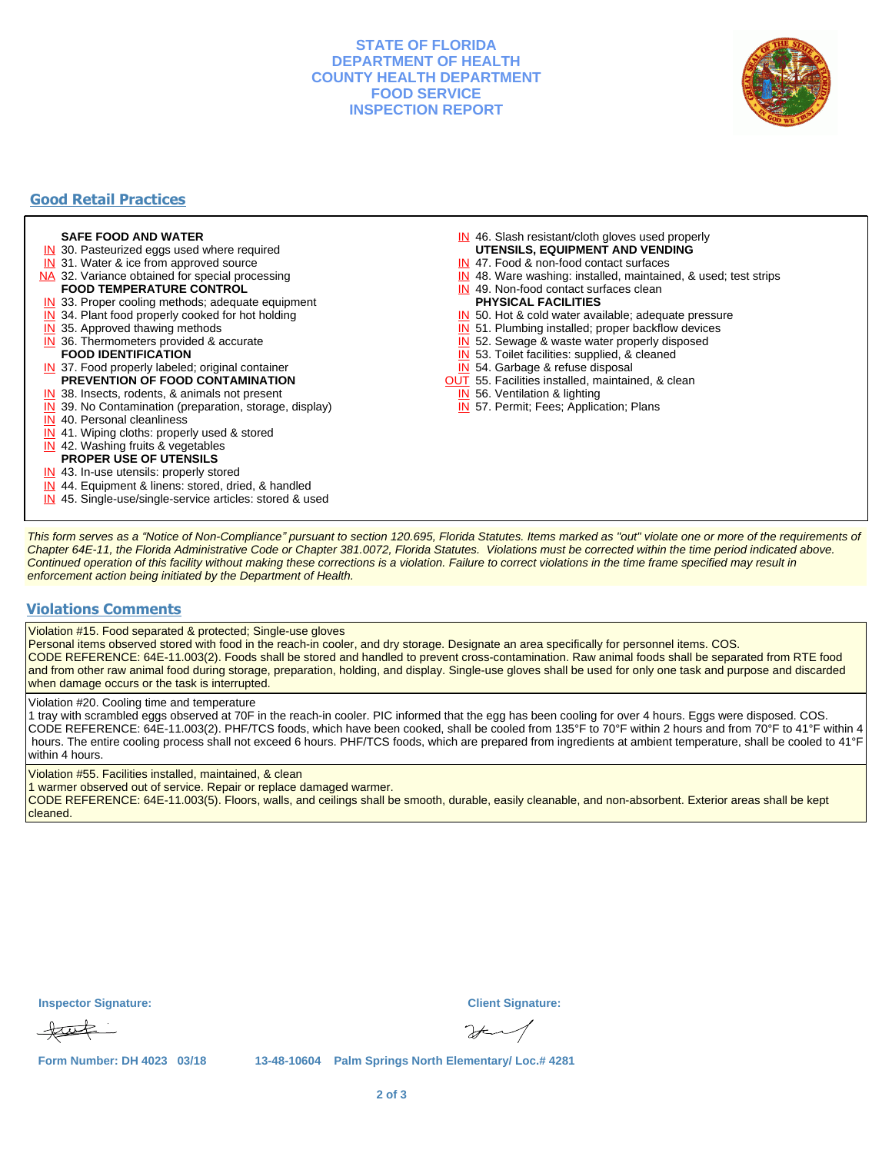## **STATE OF FLORIDA DEPARTMENT OF HEALTH COUNTY HEALTH DEPARTMENT FOOD SERVICE INSPECTION REPORT**



# **Good Retail Practices**

#### **SAFE FOOD AND WATER**

- **IN** 30. Pasteurized eggs used where required
- IN 31. Water & ice from approved source
- NA 32. Variance obtained for special processing
- **FOOD TEMPERATURE CONTROL**
- **IN** 33. Proper cooling methods; adequate equipment
- **IN** 34. Plant food properly cooked for hot holding
- **IN** 35. Approved thawing methods
- IN 36. Thermometers provided & accurate **FOOD IDENTIFICATION**
- IN 37. Food properly labeled; original container **PREVENTION OF FOOD CONTAMINATION**
- IN 38. Insects, rodents, & animals not present
- **IN** 39. No Contamination (preparation, storage, display)
- IN 40. Personal cleanliness
- IN 41. Wiping cloths: properly used & stored
- IN 42. Washing fruits & vegetables
- **PROPER USE OF UTENSILS**
- IN 43. In-use utensils: properly stored
- IN 44. Equipment & linens: stored, dried, & handled
- IN 45. Single-use/single-service articles: stored & used
- IN 46. Slash resistant/cloth gloves used properly
- **UTENSILS, EQUIPMENT AND VENDING**
- IN 47. Food & non-food contact surfaces
- IN 48. Ware washing: installed, maintained, & used; test strips
- IN 49. Non-food contact surfaces clean
- **PHYSICAL FACILITIES**
- IN 50. Hot & cold water available; adequate pressure
- IN 51. Plumbing installed; proper backflow devices
- IN 52. Sewage & waste water properly disposed
- IN 53. Toilet facilities: supplied, & cleaned
- IN 54. Garbage & refuse disposal
- **OUT** 55. Facilities installed, maintained, & clean
- IN 56. Ventilation & lighting
- IN 57. Permit; Fees; Application; Plans

This form serves as a "Notice of Non-Compliance" pursuant to section 120.695, Florida Statutes. Items marked as "out" violate one or more of the requirements of Chapter 64E-11, the Florida Administrative Code or Chapter 381.0072, Florida Statutes. Violations must be corrected within the time period indicated above. Continued operation of this facility without making these corrections is a violation. Failure to correct violations in the time frame specified may result in enforcement action being initiated by the Department of Health.

#### **Violations Comments**

Violation #15. Food separated & protected; Single-use gloves

Personal items observed stored with food in the reach-in cooler, and dry storage. Designate an area specifically for personnel items. COS. CODE REFERENCE: 64E-11.003(2). Foods shall be stored and handled to prevent cross-contamination. Raw animal foods shall be separated from RTE food and from other raw animal food during storage, preparation, holding, and display. Single-use gloves shall be used for only one task and purpose and discarded when damage occurs or the task is interrupted.

Violation #20. Cooling time and temperature

1 tray with scrambled eggs observed at 70F in the reach-in cooler. PIC informed that the egg has been cooling for over 4 hours. Eggs were disposed. COS. CODE REFERENCE: 64E-11.003(2). PHF/TCS foods, which have been cooked, shall be cooled from 135°F to 70°F within 2 hours and from 70°F to 41°F within 4 hours. The entire cooling process shall not exceed 6 hours. PHF/TCS foods, which are prepared from ingredients at ambient temperature, shall be cooled to 41°F within 4 hours.

Violation #55. Facilities installed, maintained, & clean

1 warmer observed out of service. Repair or replace damaged warmer.

CODE REFERENCE: 64E-11.003(5). Floors, walls, and ceilings shall be smooth, durable, easily cleanable, and non-absorbent. Exterior areas shall be kept cleaned.

| <b>Inspector Signature:</b> | <b>Client Signature:</b>                                                                                                                                                                                                                                                                                                                                                    |
|-----------------------------|-----------------------------------------------------------------------------------------------------------------------------------------------------------------------------------------------------------------------------------------------------------------------------------------------------------------------------------------------------------------------------|
| tut                         | $\begin{picture}(220,20) \put(0,0){\vector(1,0){10}} \put(15,0){\vector(1,0){10}} \put(15,0){\vector(1,0){10}} \put(15,0){\vector(1,0){10}} \put(15,0){\vector(1,0){10}} \put(15,0){\vector(1,0){10}} \put(15,0){\vector(1,0){10}} \put(15,0){\vector(1,0){10}} \put(15,0){\vector(1,0){10}} \put(15,0){\vector(1,0){10}} \put(15,0){\vector(1,0){10}} \put(15,0){\vector($ |

**Form Number: DH 4023 03/18 13-48-10604 Palm Springs North Elementary/ Loc.# 4281**